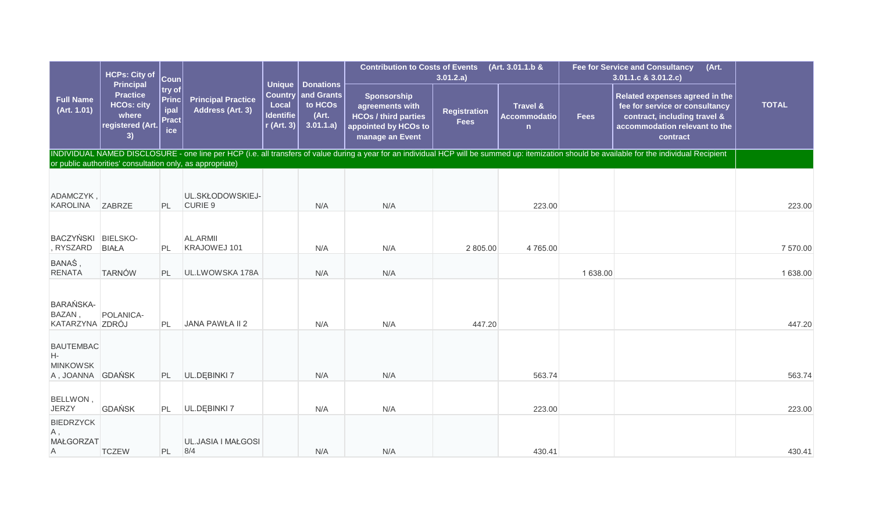|                                                               | <b>HCPs: City of</b><br><b>Principal</b>                                |                                       | $ \mathsf{Coun} $<br>$ $ try of $ $           | <b>Unique</b>                                               | <b>Donations</b>                            | <b>Contribution to Costs of Events</b>                                                                   | 3.01.2.a)                          | (Art. 3.01.1.b &                                           |             | (Art.<br><b>Fee for Service and Consultancy</b><br>3.01.1.c & 3.01.2.c)                                                                                                                         |              |
|---------------------------------------------------------------|-------------------------------------------------------------------------|---------------------------------------|-----------------------------------------------|-------------------------------------------------------------|---------------------------------------------|----------------------------------------------------------------------------------------------------------|------------------------------------|------------------------------------------------------------|-------------|-------------------------------------------------------------------------------------------------------------------------------------------------------------------------------------------------|--------------|
| <b>Full Name</b><br>(Art. 1.01)                               | <b>Practice</b><br><b>HCOs: city</b><br>where<br>registered (Art.<br>3) | Princ <br>ipal<br><b>Pract</b><br>ice | <b>Principal Practice</b><br>Address (Art. 3) | <b>Country</b><br>Local<br><b>Identifie</b><br>$r$ (Art. 3) | and Grants<br>to HCOs<br>(Art.<br>3.01.1.a) | Sponsorship<br>agreements with<br><b>HCOs / third parties</b><br>appointed by HCOs to<br>manage an Event | <b>Registration</b><br><b>Fees</b> | <b>Travel &amp;</b><br><b>Accommodatio</b><br>$\mathsf{n}$ | <b>Fees</b> | Related expenses agreed in the<br>fee for service or consultancy<br>contract, including travel &<br>accommodation relevant to the<br>contract                                                   | <b>TOTAL</b> |
|                                                               | or public authorities' consultation only, as appropriate)               |                                       |                                               |                                                             |                                             |                                                                                                          |                                    |                                                            |             | INDIVIDUAL NAMED DISCLOSURE - one line per HCP (i.e. all transfers of value during a year for an individual HCP will be summed up: itemization should be available for the individual Recipient |              |
|                                                               |                                                                         |                                       |                                               |                                                             |                                             |                                                                                                          |                                    |                                                            |             |                                                                                                                                                                                                 |              |
| ADAMCZYK,<br>KAROLINA ZABRZE                                  |                                                                         | PL                                    | UL.SKŁODOWSKIEJ-<br>CURIE 9                   |                                                             | N/A                                         | N/A                                                                                                      |                                    | 223.00                                                     |             |                                                                                                                                                                                                 | 223.00       |
|                                                               |                                                                         |                                       |                                               |                                                             |                                             |                                                                                                          |                                    |                                                            |             |                                                                                                                                                                                                 |              |
| BACZYŃSKI BIELSKO-<br>, RYSZARD                               | <b>BIAŁA</b>                                                            | PL                                    | AL.ARMII<br>KRAJOWEJ 101                      |                                                             | N/A                                         | N/A                                                                                                      | 2 805.00                           | 4765.00                                                    |             |                                                                                                                                                                                                 | 7 570.00     |
| BANAŚ,<br><b>RENATA</b>                                       | <b>TARNÓW</b>                                                           | PL                                    | UL.LWOWSKA 178A                               |                                                             | N/A                                         | N/A                                                                                                      |                                    |                                                            | 1 638.00    |                                                                                                                                                                                                 | 1 638.00     |
| <b>BARAŃSKA-</b><br><b>BAZAN</b><br>KATARZYNA ZDRÓJ           | POLANICA-                                                               | PL                                    | JANA PAWŁA II 2                               |                                                             | N/A                                         | N/A                                                                                                      | 447.20                             |                                                            |             |                                                                                                                                                                                                 | 447.20       |
| <b>BAUTEMBAC</b><br>Н-<br><b>MINKOWSK</b><br>A, JOANNA GDAŃSK |                                                                         | PL                                    | UL.DĘBINKI 7                                  |                                                             | N/A                                         | N/A                                                                                                      |                                    | 563.74                                                     |             |                                                                                                                                                                                                 | 563.74       |
| BELLWON,<br><b>JERZY</b>                                      | <b>GDAŃSK</b>                                                           | PL                                    | UL.DĘBINKI 7                                  |                                                             | N/A                                         | N/A                                                                                                      |                                    | 223.00                                                     |             |                                                                                                                                                                                                 | 223.00       |
| <b>BIEDRZYCK</b><br>Α,<br><b>MAŁGORZAT</b><br>A               | <b>TCZEW</b>                                                            | PL                                    | UL.JASIA I MAŁGOSI<br>8/4                     |                                                             | N/A                                         | N/A                                                                                                      |                                    | 430.41                                                     |             |                                                                                                                                                                                                 | 430.41       |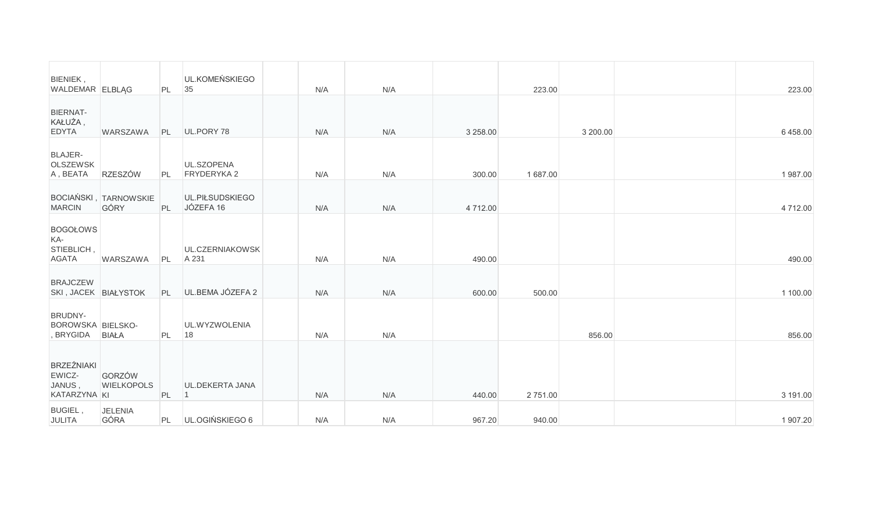| BIENIEK,<br>WALDEMAR ELBLAG                           |                                      | PL | UL.KOMEŃSKIEGO<br>35         | N/A | N/A |          | 223.00  |          | 223.00   |
|-------------------------------------------------------|--------------------------------------|----|------------------------------|-----|-----|----------|---------|----------|----------|
| BIERNAT-<br>KAŁUŻA,<br><b>EDYTA</b>                   | WARSZAWA                             | PL | UL.PORY 78                   | N/A | N/A | 3 258.00 |         | 3 200.00 | 6458.00  |
| <b>BLAJER-</b><br><b>OLSZEWSK</b><br>A, BEATA         | <b>RZESZÓW</b>                       | PL | UL.SZOPENA<br>FRYDERYKA 2    | N/A | N/A | 300.00   | 1687.00 |          | 1987.00  |
| <b>MARCIN</b>                                         | <b>BOCIAŃSKI, TARNOWSKIE</b><br>GÓRY | PL | UL.PIŁSUDSKIEGO<br>JÓZEFA 16 | N/A | N/A | 4 712.00 |         |          | 4712.00  |
| <b>BOGOŁOWS</b><br>KA-<br>STIEBLICH,<br><b>AGATA</b>  | <b>WARSZAWA</b>                      | PL | UL.CZERNIAKOWSK<br>A 231     | N/A | N/A | 490.00   |         |          | 490.00   |
| <b>BRAJCZEW</b><br>SKI, JACEK BIAŁYSTOK               |                                      | PL | UL.BEMA JÓZEFA 2             | N/A | N/A | 600.00   | 500.00  |          | 1 100.00 |
| BRUDNY-<br><b>BOROWSKA BIELSKO-</b><br>, BRYGIDA      | <b>BIAŁA</b>                         | PL | UL.WYZWOLENIA<br>18          | N/A | N/A |          |         | 856.00   | 856.00   |
| <b>BRZEŹNIAKI</b><br>EWICZ-<br>JANUS,<br>KATARZYNA KI | GORZÓW<br><b>WIELKOPOLS</b>          | PL | UL.DEKERTA JANA              | N/A | N/A | 440.00   | 2751.00 |          | 3 191.00 |
| <b>BUGIEL,</b><br>JULITA                              | <b>JELENIA</b><br>GÓRA               | PL | UL.OGIŃSKIEGO 6              | N/A | N/A | 967.20   | 940.00  |          | 1 907.20 |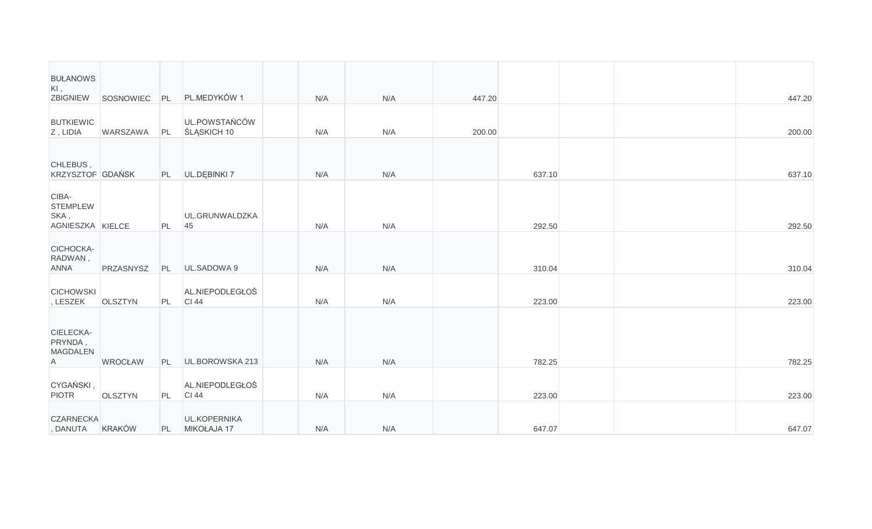| <b>BUŁANOWS</b><br>$KI$ ,<br>ZBIGNIEW                |                |    | SOSNOWIEC PL PL.MEDYKÓW 1           | N/A | N/A | 447.20 |        |  | 447.20 |  |
|------------------------------------------------------|----------------|----|-------------------------------------|-----|-----|--------|--------|--|--------|--|
| <b>BUTKIEWIC</b><br>Z, LIDIA                         | WARSZAWA       | PL | UL.POWSTAŃCÓW<br><b>SLASKICH 10</b> | N/A | N/A | 200.00 |        |  | 200.00 |  |
| CHLEBUS,<br>KRZYSZTOF GDAŃSK                         |                |    | PL UL.DEBINKI 7                     | N/A | N/A |        | 637.10 |  | 637.10 |  |
| CIBA-<br><b>STEMPLEW</b><br>SKA,<br>AGNIESZKA KIELCE |                | PL | UL.GRUNWALDZKA<br>45                | N/A | N/A |        | 292.50 |  | 292.50 |  |
| CICHOCKA-<br>RADWAN,<br><b>ANNA</b>                  | PRZASNYSZ      | PL | UL.SADOWA 9                         | N/A | N/A |        | 310.04 |  | 310.04 |  |
| <b>CICHOWSKI</b><br>, LESZEK                         | <b>OLSZTYN</b> | PL | AL.NIEPODLEGŁOŚ<br>CI 44            | N/A | N/A |        | 223.00 |  | 223.00 |  |
| CIELECKA-<br>PRYNDA,<br><b>MAGDALEN</b><br>A         | <b>WROCŁAW</b> | PL | UL.BOROWSKA 213                     | N/A | N/A |        | 782.25 |  | 782.25 |  |
| CYGAŃSKI,<br><b>PIOTR</b>                            | <b>OLSZTYN</b> | PL | AL.NIEPODLEGŁOŚ<br>CI 44            | N/A | N/A |        | 223.00 |  | 223.00 |  |
| <b>CZARNECKA</b><br>, DANUTA KRAKÓW                  |                | PL | <b>UL.KOPERNIKA</b><br>MIKOŁAJA 17  | N/A | N/A |        | 647.07 |  | 647.07 |  |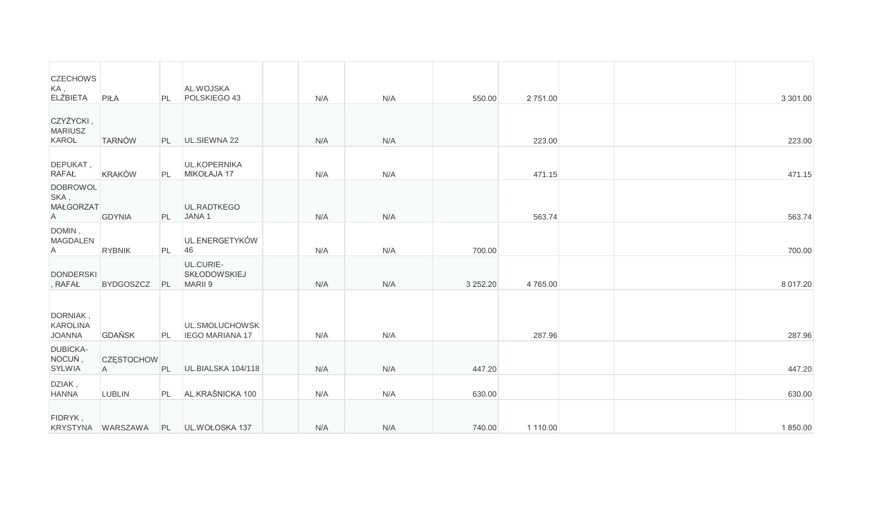| <b>CZECHOWS</b><br>KA,<br><b>ELŻBIETA</b>                   | PIŁA                                | PL        | AL.WOJSKA<br>POLSKIEGO 43                | N/A | N/A | 550.00   | 2751.00  |  | 3 301.00     |
|-------------------------------------------------------------|-------------------------------------|-----------|------------------------------------------|-----|-----|----------|----------|--|--------------|
| CZYŻYCKI,<br><b>MARIUSZ</b><br>KAROL                        | <b>TARNÓW</b>                       | PL        | UL.SIEWNA 22                             | N/A | N/A |          | 223.00   |  | 223.00       |
| DEPUKAT,<br><b>RAFAŁ</b>                                    | KRAKÓW                              | PL        | UL.KOPERNIKA<br>MIKOŁAJA 17              | N/A | N/A |          | 471.15   |  | 471.15       |
| <b>DOBROWOL</b><br>SKA,<br><b>MAŁGORZAT</b><br>$\mathsf{A}$ | <b>GDYNIA</b>                       | <b>PL</b> | UL.RADTKEGO<br>JANA <sub>1</sub>         | N/A | N/A |          | 563.74   |  | 563.74       |
| DOMIN,<br><b>MAGDALEN</b><br>A                              | <b>RYBNIK</b>                       | PL        | UL.ENERGETYKÓW<br>46                     | N/A | N/A | 700.00   |          |  | 700.00       |
| <b>DONDERSKI</b><br>, RAFAŁ                                 | <b>BYDGOSZCZ</b>                    | PL        | UL.CURIE-<br>SKŁODOWSKIEJ<br>MARII 9     | N/A | N/A | 3 252.20 | 4765.00  |  | 8 0 1 7 . 20 |
| DORNIAK,<br>KAROLINA<br><b>JOANNA</b>                       | <b>GDAŃSK</b>                       | PL        | UL.SMOLUCHOWSK<br><b>IEGO MARIANA 17</b> | N/A | N/A |          | 287.96   |  | 287.96       |
| <b>DUBICKA-</b><br>NOCUŃ,<br>SYLWIA                         | <b>CZESTOCHOW</b><br>$\overline{A}$ | PL        | UL.BIALSKA 104/118                       | N/A | N/A | 447.20   |          |  | 447.20       |
| DZIAK,<br><b>HANNA</b>                                      | <b>LUBLIN</b>                       | PL        | AL.KRAŚNICKA 100                         | N/A | N/A | 630.00   |          |  | 630.00       |
| FIDRYK,                                                     | KRYSTYNA WARSZAWA                   |           | PL UL.WOŁOSKA 137                        | N/A | N/A | 740.00   | 1 110.00 |  | 1850.00      |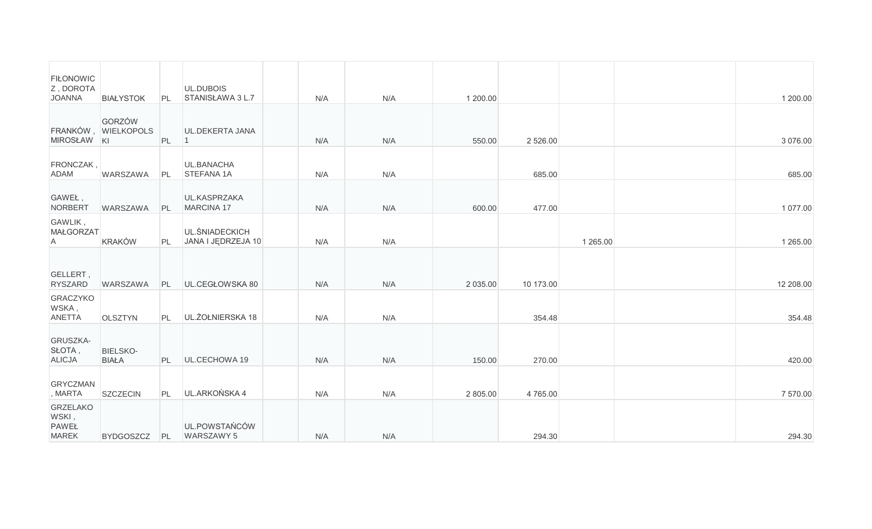| <b>FILONOWIC</b><br>Z, DOROTA<br><b>JOANNA</b>           | <b>BIAŁYSTOK</b>              | PL | UL.DUBOIS<br>STANISŁAWA 3 L.7               | N/A | N/A | 1 200.00 |             |               | 1 200.00  |
|----------------------------------------------------------|-------------------------------|----|---------------------------------------------|-----|-----|----------|-------------|---------------|-----------|
| MIROSŁAW KI                                              | GORZÓW<br>FRANKÓW, WIELKOPOLS | PL | UL.DEKERTA JANA<br>$\vert$ 1                | N/A | N/A | 550.00   | 2 5 2 6 .00 |               | 3 076.00  |
| FRONCZAK,<br>ADAM                                        | <b>WARSZAWA</b>               | PL | UL.BANACHA<br>STEFANA 1A                    | N/A | N/A |          | 685.00      |               | 685.00    |
| GAWEŁ,<br>NORBERT                                        | <b>WARSZAWA</b>               | PL | UL.KASPRZAKA<br>MARCINA 17                  | N/A | N/A | 600.00   | 477.00      |               | 1 077.00  |
| GAWLIK,<br>MAŁGORZAT<br>$\mathsf{A}$                     | <b>KRAKÓW</b>                 | PL | <b>UL.SNIADECKICH</b><br>JANA I JEDRZEJA 10 | N/A | N/A |          |             | 1 2 6 5 . 0 0 | 1 265.00  |
| GELLERT,<br>RYSZARD                                      | WARSZAWA                      | PL | UL.CEGŁOWSKA 80                             | N/A | N/A | 2 035.00 | 10 173.00   |               | 12 208.00 |
| GRACZYKO<br>WSKA,<br>ANETTA                              | <b>OLSZTYN</b>                | PL | UL. ŻOŁNIERSKA 18                           | N/A | N/A |          | 354.48      |               | 354.48    |
| GRUSZKA-<br>SŁOTA,<br><b>ALICJA</b>                      | BIELSKO-<br><b>BIAŁA</b>      | PL | UL.CECHOWA 19                               | N/A | N/A | 150.00   | 270.00      |               | 420.00    |
| <b>GRYCZMAN</b><br>, MARTA                               | <b>SZCZECIN</b>               | PL | UL.ARKOŃSKA 4                               | N/A | N/A | 2 805.00 | 4765.00     |               | 7 570.00  |
| <b>GRZELAKO</b><br>WSKI,<br><b>PAWEŁ</b><br><b>MAREK</b> | <b>BYDGOSZCZ</b>              | PL | UL.POWSTAŃCÓW<br>WARSZAWY 5                 | N/A | N/A |          | 294.30      |               | 294.30    |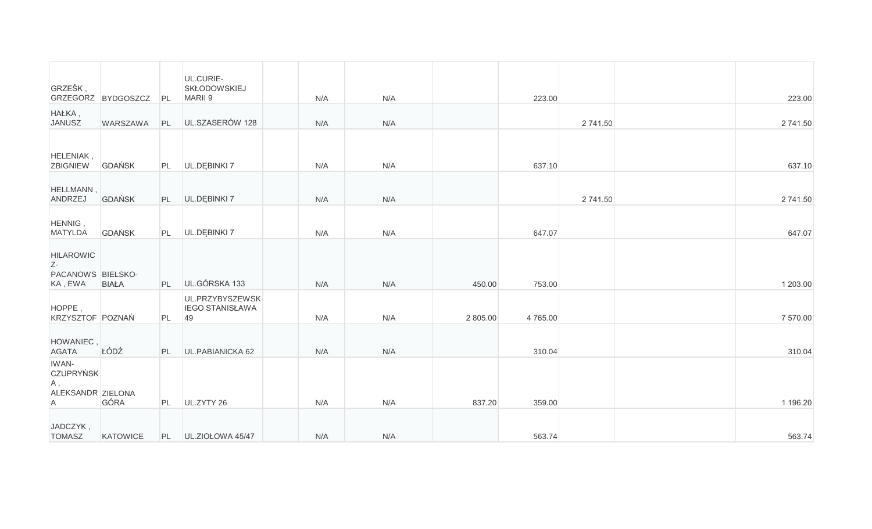| GRZEŚK,                                                              |                    |           | UL.CURIE-<br><b>SKŁODOWSKIEJ</b>                |     |     |          |         |          |          |
|----------------------------------------------------------------------|--------------------|-----------|-------------------------------------------------|-----|-----|----------|---------|----------|----------|
| HAŁKA,                                                               | GRZEGORZ BYDGOSZCZ | PL        | MARII 9                                         | N/A | N/A |          | 223.00  |          | 223.00   |
| <b>JANUSZ</b>                                                        | WARSZAWA           | PL        | UL.SZASERÓW 128                                 | N/A | N/A |          |         | 2 741.50 | 2 741.50 |
| HELENIAK,<br><b>ZBIGNIEW</b>                                         | GDAŃSK             | PL        | UL.DEBINKI 7                                    | N/A | N/A |          | 637.10  |          | 637.10   |
| HELLMANN,<br>ANDRZEJ                                                 | <b>GDAŃSK</b>      |           | PL <b>UL.DEBINKI</b> 7                          | N/A | N/A |          |         | 2 741.50 | 2 741.50 |
| HENNIG,<br><b>MATYLDA</b>                                            | <b>GDAŃSK</b>      |           | PL UL.DĘBINKI 7                                 | N/A | N/A |          | 647.07  |          | 647.07   |
| <b>HILAROWIC</b><br>$Z-$<br>PACANOWS BIELSKO-<br>KA, EWA             | <b>BIAŁA</b>       | PL        | UL.GÓRSKA 133                                   | N/A | N/A | 450.00   | 753.00  |          | 1 203.00 |
| HOPPE,<br>KRZYSZTOF POZNAŃ                                           |                    | PL        | UL.PRZYBYSZEWSK<br><b>IEGO STANISŁAWA</b><br>49 | N/A | N/A | 2 805.00 | 4765.00 |          | 7 570.00 |
| HOWANIEC,<br><b>AGATA</b>                                            | ŁÓDŹ               | <b>PL</b> | UL.PABIANICKA 62                                | N/A | N/A |          | 310.04  |          | 310.04   |
| IWAN-<br><b>CZUPRYŃSK</b><br>A,<br>ALEKSANDR ZIELONA<br>$\mathsf{A}$ | GÓRA               | PL        | UL.ZYTY 26                                      | N/A | N/A | 837.20   | 359.00  |          | 1 196.20 |
| JADCZYK,<br><b>TOMASZ</b>                                            | KATOWICE           |           | PL UL.ZIOŁOWA 45/47                             | N/A | N/A |          | 563.74  |          | 563.74   |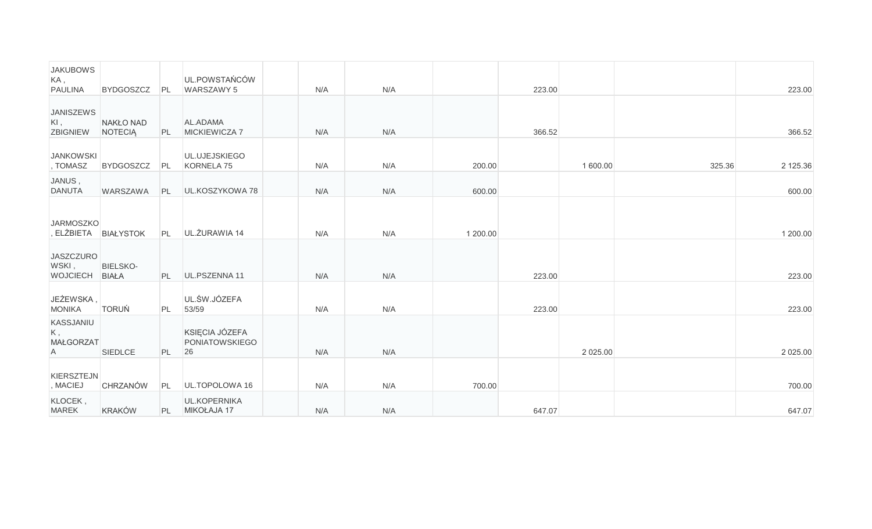| <b>JAKUBOWS</b><br>KA,<br><b>PAULINA</b>    | <b>BYDGOSZCZ</b>     | PL | UL.POWSTAŃCÓW<br>WARSZAWY 5                   | N/A | N/A |          | 223.00 |          |        | 223.00   |
|---------------------------------------------|----------------------|----|-----------------------------------------------|-----|-----|----------|--------|----------|--------|----------|
| <b>JANISZEWS</b><br>$KI$ ,<br>ZBIGNIEW      | NAKŁO NAD<br>NOTECIA | PL | AL.ADAMA<br>MICKIEWICZA 7                     | N/A | N/A |          | 366.52 |          |        | 366.52   |
| <b>JANKOWSKI</b><br>, TOMASZ                | <b>BYDGOSZCZ</b>     | PL | UL.UJEJSKIEGO<br>KORNELA 75                   | N/A | N/A | 200.00   |        | 1 600.00 | 325.36 | 2 125.36 |
| JANUS,<br><b>DANUTA</b>                     | WARSZAWA             | PL | UL.KOSZYKOWA 78                               | N/A | N/A | 600.00   |        |          |        | 600.00   |
| <b>JARMOSZKO</b><br>, ELŻBIETA BIAŁYSTOK    |                      | PL | UL. ŻURAWIA 14                                | N/A | N/A | 1 200.00 |        |          |        | 1 200.00 |
| <b>JASZCZURO</b><br>WSKI,<br>WOJCIECH BIAŁA | <b>BIELSKO-</b>      | PL | UL.PSZENNA 11                                 | N/A | N/A |          | 223.00 |          |        | 223.00   |
| JEŻEWSKA,<br><b>MONIKA</b>                  | <b>TORUŃ</b>         | PL | UL.ŚW.JÓZEFA<br>53/59                         | N/A | N/A |          | 223.00 |          |        | 223.00   |
| KASSJANIU<br>K,<br><b>MAŁGORZAT</b><br>A    | SIEDLCE              | PL | KSIĘCIA JÓZEFA<br><b>PONIATOWSKIEGO</b><br>26 | N/A | N/A |          |        | 2 025.00 |        | 2 025.00 |
| KIERSZTEJN<br>, MACIEJ                      | <b>CHRZANÓW</b>      | PL | UL.TOPOLOWA 16                                | N/A | N/A | 700.00   |        |          |        | 700.00   |
| KLOCEK,<br><b>MAREK</b>                     | <b>KRAKÓW</b>        | PL | <b>UL.KOPERNIKA</b><br>MIKOŁAJA 17            | N/A | N/A |          | 647.07 |          |        | 647.07   |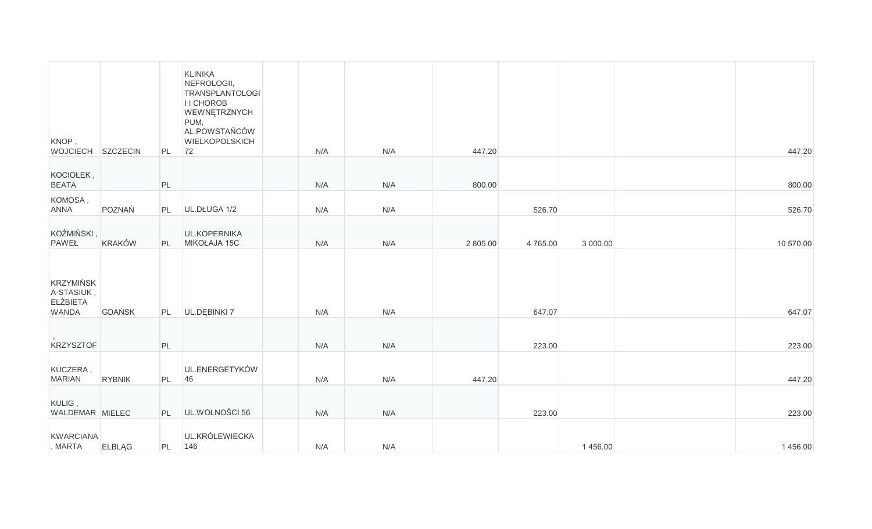| KNOP,<br>WOJCIECH SZCZECIN                                        |               | PL | <b>KLINIKA</b><br>NEFROLOGII,<br><b>TRANSPLANTOLOGI</b><br>I I CHOROB<br>WEWNĘTRZNYCH<br>PUM,<br>AL.POWSTAŃCÓW<br>WIELKOPOLSKICH<br>72 | N/A | N/A | 447.20   |         |          | 447.20    |
|-------------------------------------------------------------------|---------------|----|----------------------------------------------------------------------------------------------------------------------------------------|-----|-----|----------|---------|----------|-----------|
| KOCIOŁEK,<br><b>BEATA</b>                                         |               | PL |                                                                                                                                        | N/A | N/A | 800.00   |         |          | 800.00    |
| KOMOSA,<br><b>ANNA</b>                                            | POZNAŃ        | PL | UL.DŁUGA 1/2                                                                                                                           | N/A | N/A |          | 526.70  |          | 526.70    |
| KOŹMIŃSKI,<br>PAWEŁ                                               | <b>KRAKÓW</b> | PL | UL.KOPERNIKA<br>MIKOŁAJA 15C                                                                                                           | N/A | N/A | 2 805.00 | 4765.00 | 3 000.00 | 10 570.00 |
| <b>KRZYMIŃSK</b><br>A-STASIUK,<br><b>ELŻBIETA</b><br><b>WANDA</b> | <b>GDAŃSK</b> | PL | UL.DĘBINKI 7                                                                                                                           | N/A | N/A |          | 647.07  |          | 647.07    |
| <b>KRZYSZTOF</b>                                                  |               | PL |                                                                                                                                        | N/A | N/A |          | 223.00  |          | 223.00    |
| KUCZERA,<br><b>MARIAN</b>                                         | <b>RYBNIK</b> | PL | UL.ENERGETYKÓW<br>46                                                                                                                   | N/A | N/A | 447.20   |         |          | 447.20    |
| KULIG,<br>WALDEMAR MIELEC                                         |               | PL | UL.WOLNOŚCI 56                                                                                                                         | N/A | N/A |          | 223.00  |          | 223.00    |
| KWARCIANA<br>, MARTA                                              | <b>ELBLAG</b> | PL | UL.KRÓLEWIECKA<br>146                                                                                                                  | N/A | N/A |          |         | 1456.00  | 1456.00   |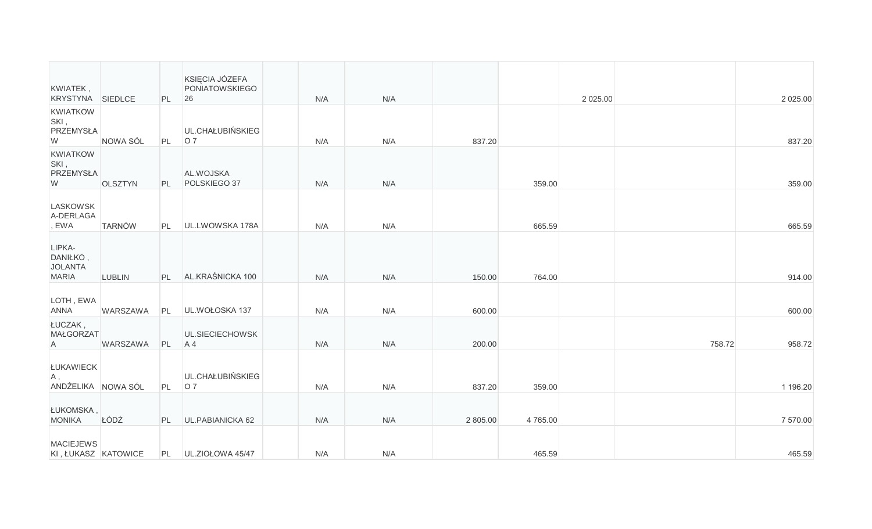| KWIATEK,                                             |                 |    | KSIĘCIA JÓZEFA<br>PONIATOWSKIEGO |     |     |          |         |             |        |             |
|------------------------------------------------------|-----------------|----|----------------------------------|-----|-----|----------|---------|-------------|--------|-------------|
| KRYSTYNA SIEDLCE                                     |                 | PL | 26                               | N/A | N/A |          |         | 2 0 2 5 .00 |        | 2 0 2 5 .00 |
| KWIATKOW<br>SKI,<br>PRZEMYSŁA<br>W                   | NOWA SÓL        | PL | UL.CHAŁUBIŃSKIEG<br>07           | N/A | N/A | 837.20   |         |             |        | 837.20      |
| KWIATKOW<br>SKI,<br>PRZEMYSŁA<br>W                   | OLSZTYN         | PL | AL.WOJSKA<br>POLSKIEGO 37        | N/A | N/A |          | 359.00  |             |        | 359.00      |
| <b>LASKOWSK</b><br>A-DERLAGA<br>, EWA                | <b>TARNÓW</b>   | PL | UL.LWOWSKA 178A                  | N/A | N/A |          | 665.59  |             |        | 665.59      |
| LIPKA-<br>DANIŁKO,<br><b>JOLANTA</b><br><b>MARIA</b> | <b>LUBLIN</b>   | PL | AL.KRAŚNICKA 100                 | N/A | N/A | 150.00   | 764.00  |             |        | 914.00      |
| LOTH, EWA<br>ANNA                                    | <b>WARSZAWA</b> | PL | UL.WOŁOSKA 137                   | N/A | N/A | 600.00   |         |             |        | 600.00      |
| ŁUCZAK,<br><b>MAŁGORZAT</b><br>A                     | WARSZAWA        | PL | UL.SIECIECHOWSK<br>A4            | N/A | N/A | 200.00   |         |             | 758.72 | 958.72      |
| <b>ŁUKAWIECK</b><br>A,<br>ANDŻELIKA NOWA SÓL         |                 | PL | UL.CHAŁUBIŃSKIEG<br>07           | N/A | N/A | 837.20   | 359.00  |             |        | 1 196.20    |
| ŁUKOMSKA,<br><b>MONIKA</b>                           | ŁÓDŹ            |    | PL UL.PABIANICKA 62              | N/A | N/A | 2 805.00 | 4765.00 |             |        | 7 570.00    |
| <b>MACIEJEWS</b><br>KI, ŁUKASZ KATOWICE              |                 |    | PL UL.ZIOŁOWA 45/47              | N/A | N/A |          | 465.59  |             |        | 465.59      |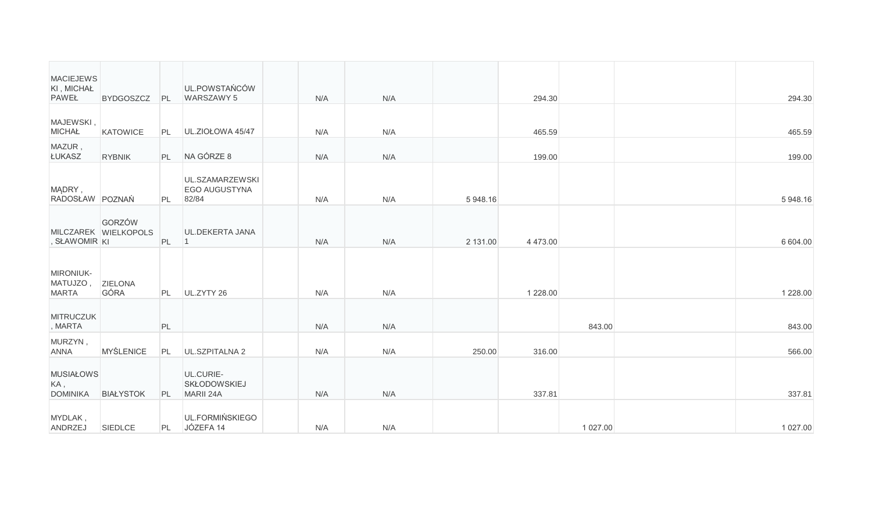| <b>MACIEJEWS</b><br>KI, MICHAŁ<br>PAWEŁ    | <b>BYDGOSZCZ</b>               | PL | UL.POWSTAŃCÓW<br>WARSZAWY 5                   | N/A | N/A |          | 294.30        |          | 294.30      |
|--------------------------------------------|--------------------------------|----|-----------------------------------------------|-----|-----|----------|---------------|----------|-------------|
| MAJEWSKI,<br><b>MICHAŁ</b>                 | <b>KATOWICE</b>                | PL | UL.ZIOŁOWA 45/47                              | N/A | N/A |          | 465.59        |          | 465.59      |
| MAZUR,<br>ŁUKASZ                           | <b>RYBNIK</b>                  | PL | NA GÓRZE 8                                    | N/A | N/A |          | 199.00        |          | 199.00      |
| MĄDRY,<br>RADOSŁAW POZNAŃ                  |                                | PL | UL.SZAMARZEWSKI<br>EGO AUGUSTYNA<br>82/84     | N/A | N/A | 5 948.16 |               |          | 5 948.16    |
| , SŁAWOMIR KI                              | GORZÓW<br>MILCZAREK WIELKOPOLS | PL | UL.DEKERTA JANA<br>$\vert$ 1                  | N/A | N/A | 2 131.00 | 4 473.00      |          | 6 604.00    |
| MIRONIUK-<br>MATUJZO,<br><b>MARTA</b>      | <b>ZIELONA</b><br>GÓRA         | PL | UL.ZYTY 26                                    | N/A | N/A |          | 1 2 2 8 . 0 0 |          | 1 2 2 8 .00 |
| <b>MITRUCZUK</b><br>, MARTA                |                                | PL |                                               | N/A | N/A |          |               | 843.00   | 843.00      |
| MURZYN,<br><b>ANNA</b>                     | <b>MYŚLENICE</b>               | PL | UL.SZPITALNA 2                                | N/A | N/A | 250.00   | 316.00        |          | 566.00      |
| <b>MUSIAŁOWS</b><br>KA,<br><b>DOMINIKA</b> | <b>BIAŁYSTOK</b>               | PL | UL.CURIE-<br><b>SKŁODOWSKIEJ</b><br>MARII 24A | N/A | N/A |          | 337.81        |          | 337.81      |
| MYDLAK,<br>ANDRZEJ                         | SIEDLCE                        | PL | UL.FORMIŃSKIEGO<br>JÓZEFA 14                  | N/A | N/A |          |               | 1 027.00 | 1 027.00    |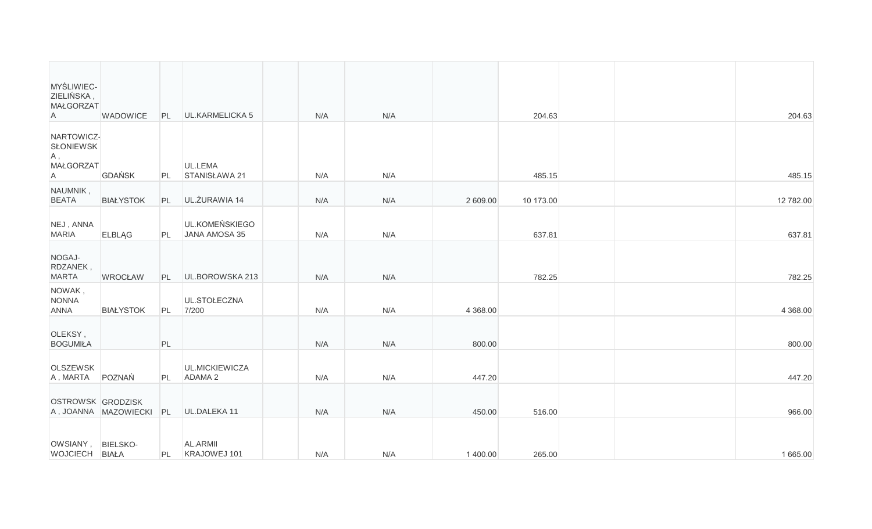| MYŚLIWIEC-<br>ZIELIŃSKA,<br><b>MAŁGORZAT</b><br>Α | <b>WADOWICE</b>                   | PL       | <b>UL.KARMELICKA 5</b>               | N/A        | N/A        |           | 204.63              |  | 204.63              |
|---------------------------------------------------|-----------------------------------|----------|--------------------------------------|------------|------------|-----------|---------------------|--|---------------------|
| NARTOWICZ-<br><b>SŁONIEWSK</b><br>A,<br>MAŁGORZAT |                                   |          | UL.LEMA                              |            |            |           |                     |  |                     |
| $\mathsf{A}$<br>NAUMNIK,<br><b>BEATA</b>          | <b>GDAŃSK</b><br><b>BIAŁYSTOK</b> | PL<br>PL | STANISŁAWA 21<br>UL. ŻURAWIA 14      | N/A<br>N/A | N/A<br>N/A | 2 609.00  | 485.15<br>10 173.00 |  | 485.15<br>12 782.00 |
| NEJ, ANNA<br><b>MARIA</b>                         | <b>ELBLAG</b>                     | PL       | UL.KOMEŃSKIEGO<br>JANA AMOSA 35      | N/A        | N/A        |           | 637.81              |  | 637.81              |
| NOGAJ-<br>RDZANEK,<br><b>MARTA</b>                | <b>WROCŁAW</b>                    | PL       | UL.BOROWSKA 213                      | N/A        | N/A        |           | 782.25              |  | 782.25              |
| NOWAK,<br><b>NONNA</b><br><b>ANNA</b>             | <b>BIAŁYSTOK</b>                  | PL       | UL.STOŁECZNA<br>7/200                | N/A        | N/A        | 4 3 68 00 |                     |  | 4 3 68.00           |
| OLEKSY,<br><b>BOGUMIŁA</b>                        |                                   | PL       |                                      | N/A        | N/A        | 800.00    |                     |  | 800.00              |
| <b>OLSZEWSK</b><br>A, MARTA                       | POZNAŃ                            | PL       | UL.MICKIEWICZA<br>ADAMA <sub>2</sub> | N/A        | N/A        | 447.20    |                     |  | 447.20              |
| OSTROWSK GRODZISK                                 | A, JOANNA MAZOWIECKI              | PL       | UL.DALEKA 11                         | N/A        | N/A        | 450.00    | 516.00              |  | 966.00              |
| OWSIANY, BIELSKO-<br>WOJCIECH BIAŁA               |                                   | PL       | AL.ARMII<br>KRAJOWEJ 101             | N/A        | N/A        | 1 400.00  | 265.00              |  | 1 665.00            |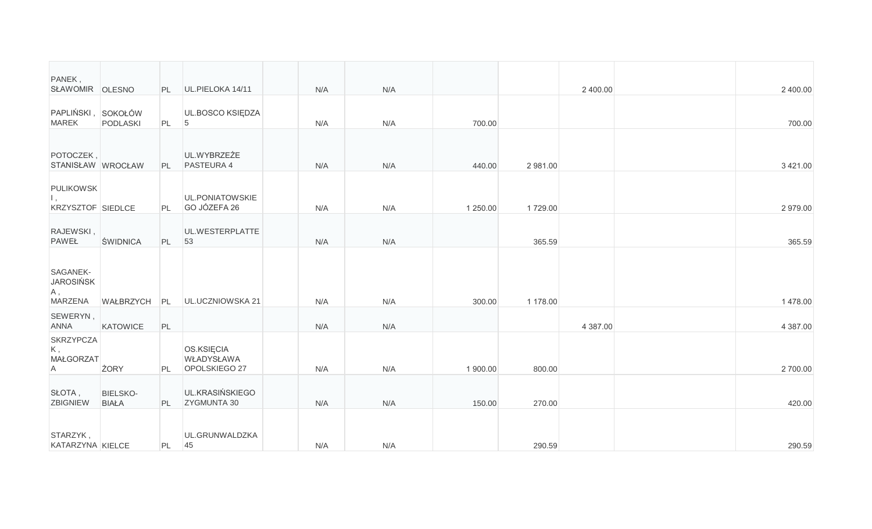| PANEK,<br>SŁAWOMIR OLESNO                             |                                 | PL        | UL.PIELOKA 14/11                          | N/A | N/A |          |          | 2 400.00 | 2 400.00    |
|-------------------------------------------------------|---------------------------------|-----------|-------------------------------------------|-----|-----|----------|----------|----------|-------------|
| PAPLIŃSKI, SOKOŁÓW<br><b>MAREK</b>                    | PODLASKI                        | PL        | UL.BOSCO KSIĘDZA<br>5                     | N/A | N/A | 700.00   |          |          | 700.00      |
| POTOCZEK,<br>STANISŁAW WROCŁAW                        |                                 | PL        | UL.WYBRZEŻE<br><b>PASTEURA 4</b>          | N/A | N/A | 440.00   | 2 981.00 |          | 3 4 2 1 .00 |
| <b>PULIKOWSK</b><br>Ι,<br>KRZYSZTOF SIEDLCE           |                                 | PL        | UL.PONIATOWSKIE<br>GO JÓZEFA 26           | N/A | N/A | 1 250.00 | 1729.00  |          | 2979.00     |
| RAJEWSKI,<br><b>PAWEŁ</b>                             | <b>ŚWIDNICA</b>                 | PL        | UL.WESTERPLATTE<br>53                     | N/A | N/A |          | 365.59   |          | 365.59      |
| SAGANEK-<br><b>JAROSIŃSK</b><br>A,<br>MARZENA         | WAŁBRZYCH                       | PL        | UL.UCZNIOWSKA 21                          | N/A | N/A | 300.00   | 1 178.00 |          | 1478.00     |
| SEWERYN,<br><b>ANNA</b>                               | KATOWICE                        | PL        |                                           | N/A | N/A |          |          | 4 387.00 | 4 387.00    |
| <b>SKRZYPCZA</b><br>K,<br>MAŁGORZAT<br>$\overline{A}$ | <b>ŻORY</b>                     | <b>PL</b> | OS.KSIECIA<br>WŁADYSŁAWA<br>OPOLSKIEGO 27 | N/A | N/A | 1 900.00 | 800.00   |          | 2700.00     |
| SŁOTA,<br>ZBIGNIEW                                    | <b>BIELSKO-</b><br><b>BIAŁA</b> | PL        | UL.KRASIŃSKIEGO<br>ZYGMUNTA 30            | N/A | N/A | 150.00   | 270.00   |          | 420.00      |
| STARZYK,<br>KATARZYNA KIELCE                          |                                 | PL        | UL.GRUNWALDZKA<br>45                      | N/A | N/A |          | 290.59   |          | 290.59      |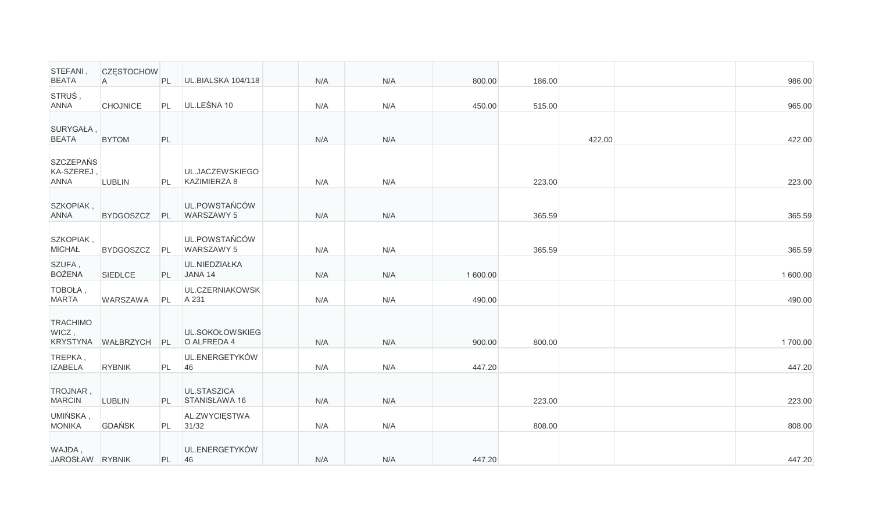| STEFANI,<br><b>BEATA</b>                      | <b>CZESTOCHOW</b><br>A | PL   | UL.BIALSKA 104/118              | N/A | N/A | 800.00   | 186.00 |        | 986.00   |
|-----------------------------------------------|------------------------|------|---------------------------------|-----|-----|----------|--------|--------|----------|
| STRUS,<br><b>ANNA</b>                         | <b>CHOJNICE</b>        | PL   | UL.LEŚNA 10                     | N/A | N/A | 450.00   | 515.00 |        | 965.00   |
| SURYGAŁA,<br><b>BEATA</b>                     | <b>BYTOM</b>           | PL   |                                 | N/A | N/A |          |        | 422.00 | 422.00   |
| <b>SZCZEPAŃS</b><br>KA-SZEREJ,<br><b>ANNA</b> | <b>LUBLIN</b>          | PL   | UL.JACZEWSKIEGO<br>KAZIMIERZA 8 | N/A | N/A |          | 223.00 |        | 223.00   |
| SZKOPIAK,<br><b>ANNA</b>                      | <b>BYDGOSZCZ</b>       | PL   | UL.POWSTAŃCÓW<br>WARSZAWY 5     | N/A | N/A |          | 365.59 |        | 365.59   |
| SZKOPIAK,<br><b>MICHAŁ</b>                    | <b>BYDGOSZCZ</b>       | PL   | UL.POWSTAŃCÓW<br>WARSZAWY 5     | N/A | N/A |          | 365.59 |        | 365.59   |
| SZUFA,<br><b>BOŻENA</b>                       | SIEDLCE                | PL - | UL.NIEDZIAŁKA<br>JANA 14        | N/A | N/A | 1 600.00 |        |        | 1 600.00 |
| TOBOŁA,<br><b>MARTA</b>                       | <b>WARSZAWA</b>        | PL   | UL.CZERNIAKOWSK<br>A 231        | N/A | N/A | 490.00   |        |        | 490.00   |
| <b>TRACHIMO</b><br>WICZ,                      | KRYSTYNA WAŁBRZYCH     | PL   | UL.SOKOŁOWSKIEG<br>O ALFREDA 4  | N/A | N/A | 900.00   | 800.00 |        | 1700.00  |
| TREPKA,<br><b>IZABELA</b>                     | <b>RYBNIK</b>          | PL   | UL.ENERGETYKÓW<br>46            | N/A | N/A | 447.20   |        |        | 447.20   |
| TROJNAR,<br><b>MARCIN</b>                     | <b>LUBLIN</b>          | PL - | UL.STASZICA<br>STANISŁAWA 16    | N/A | N/A |          | 223.00 |        | 223.00   |
| UMIŃSKA,<br><b>MONIKA</b>                     | <b>GDAŃSK</b>          | PL   | AL.ZWYCIESTWA<br>31/32          | N/A | N/A |          | 808.00 |        | 808.00   |
| WAJDA,<br>JAROSŁAW RYBNIK                     |                        | PL   | UL.ENERGETYKÓW<br>46            | N/A | N/A | 447.20   |        |        | 447.20   |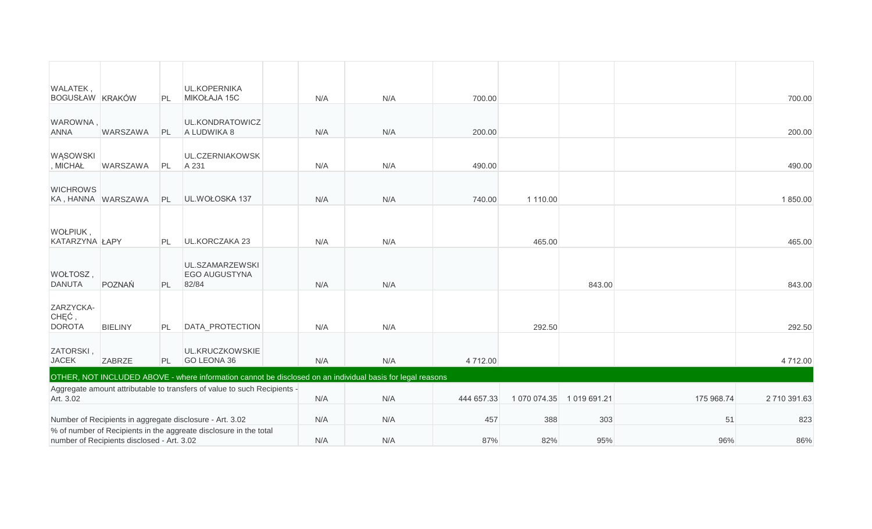| WALATEK,                            |                                            |           | <b>UL.KOPERNIKA</b>                                                      |     |                                                                                                            |            |              |            |            |            |
|-------------------------------------|--------------------------------------------|-----------|--------------------------------------------------------------------------|-----|------------------------------------------------------------------------------------------------------------|------------|--------------|------------|------------|------------|
| BOGUSŁAW KRAKÓW                     |                                            | PL        | MIKOŁAJA 15C                                                             | N/A | N/A                                                                                                        | 700.00     |              |            |            | 700.00     |
| WAROWNA,<br><b>ANNA</b>             | WARSZAWA                                   | PL        | UL.KONDRATOWICZ<br>A LUDWIKA 8                                           | N/A | N/A                                                                                                        | 200.00     |              |            |            | 200.00     |
| WĄSOWSKI<br>, MICHAŁ                | WARSZAWA                                   | PL        | UL.CZERNIAKOWSK<br>A 231                                                 | N/A | N/A                                                                                                        | 490.00     |              |            |            | 490.00     |
| <b>WICHROWS</b>                     | KA, HANNA WARSZAWA                         | PL        | UL.WOŁOSKA 137                                                           | N/A | N/A                                                                                                        | 740.00     | 1 110.00     |            |            | 1850.00    |
|                                     |                                            |           |                                                                          |     |                                                                                                            |            |              |            |            |            |
| WOŁPIUK,<br>KATARZYNA ŁAPY          |                                            | PL        | UL.KORCZAKA 23                                                           | N/A | N/A                                                                                                        |            | 465.00       |            |            | 465.00     |
| WOŁTOSZ,<br><b>DANUTA</b>           | POZNAŃ                                     | PL        | UL.SZAMARZEWSKI<br>EGO AUGUSTYNA<br>82/84                                | N/A | N/A                                                                                                        |            |              | 843.00     |            | 843.00     |
| ZARZYCKA-<br>CHĘĆ,<br><b>DOROTA</b> | <b>BIELINY</b>                             | PL        | DATA_PROTECTION                                                          | N/A | N/A                                                                                                        |            | 292.50       |            |            | 292.50     |
| ZATORSKI,<br><b>JACEK</b>           | <b>ZABRZE</b>                              | <b>PL</b> | UL.KRUCZKOWSKIE<br><b>GO LEONA 36</b>                                    | N/A | N/A                                                                                                        | 4 712.00   |              |            |            | 4712.00    |
|                                     |                                            |           |                                                                          |     | OTHER, NOT INCLUDED ABOVE - where information cannot be disclosed on an individual basis for legal reasons |            |              |            |            |            |
| Art. 3.02                           |                                            |           | Aggregate amount attributable to transfers of value to such Recipients - | N/A | N/A                                                                                                        | 444 657.33 | 1 070 074.35 | 1019691.21 | 175 968.74 | 2710391.63 |
|                                     |                                            |           | Number of Recipients in aggregate disclosure - Art. 3.02                 | N/A | N/A                                                                                                        | 457        | 388          | 303        | 51         | 823        |
|                                     | number of Recipients disclosed - Art. 3.02 |           | % of number of Recipients in the aggreate disclosure in the total        | N/A | N/A                                                                                                        | 87%        | 82%          | 95%        | 96%        | 86%        |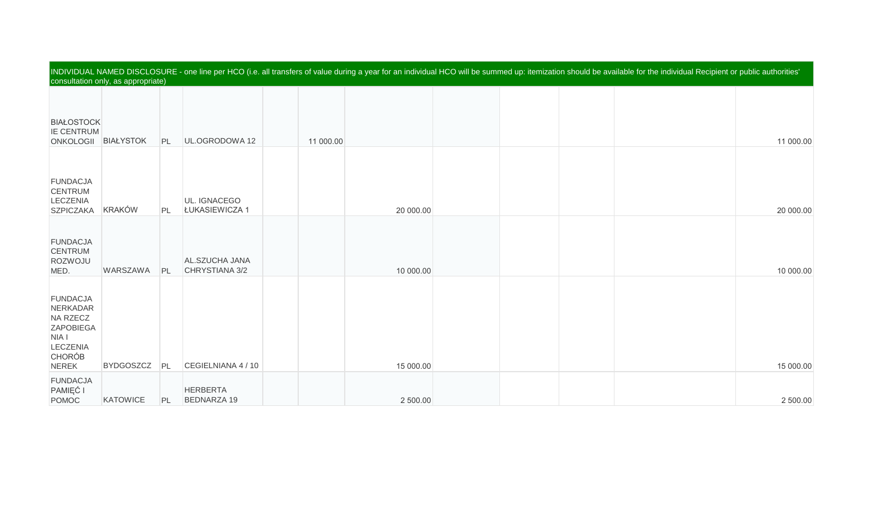| INDIVIDUAL NAMED DISCLOSURE - one line per HCO (i.e. all transfers of value during a year for an individual HCO will be summed up: itemization should be available for the individual Recipient or public authorities' |                                    |    |                                       |           |           |  |  |  |  |           |  |  |  |  |
|------------------------------------------------------------------------------------------------------------------------------------------------------------------------------------------------------------------------|------------------------------------|----|---------------------------------------|-----------|-----------|--|--|--|--|-----------|--|--|--|--|
|                                                                                                                                                                                                                        | consultation only, as appropriate) |    |                                       |           |           |  |  |  |  |           |  |  |  |  |
| <b>BIAŁOSTOCK</b><br><b>IE CENTRUM</b><br><b>ONKOLOGII</b>                                                                                                                                                             | <b>BIAŁYSTOK</b>                   | PL | UL.OGRODOWA 12                        | 11 000.00 |           |  |  |  |  | 11 000.00 |  |  |  |  |
| <b>FUNDACJA</b><br><b>CENTRUM</b><br>LECZENIA<br><b>SZPICZAKA</b>                                                                                                                                                      | <b>KRAKÓW</b>                      | PL | UL. IGNACEGO<br>ŁUKASIEWICZA 1        |           | 20 000.00 |  |  |  |  | 20 000.00 |  |  |  |  |
| <b>FUNDACJA</b><br><b>CENTRUM</b><br>ROZWOJU<br>MED.                                                                                                                                                                   | WARSZAWA                           | PL | AL.SZUCHA JANA<br>CHRYSTIANA 3/2      |           | 10 000.00 |  |  |  |  | 10 000.00 |  |  |  |  |
| <b>FUNDACJA</b><br>NERKADAR<br>NA RZECZ<br>ZAPOBIEGA<br>NIA I<br>LECZENIA<br><b>CHORÓB</b><br><b>NEREK</b>                                                                                                             | <b>BYDGOSZCZ</b>                   | PL | CEGIELNIANA 4 / 10                    |           | 15 000.00 |  |  |  |  | 15 000.00 |  |  |  |  |
| <b>FUNDACJA</b><br>PAMIĘĆ I<br><b>POMOC</b>                                                                                                                                                                            | <b>KATOWICE</b>                    | PL | <b>HERBERTA</b><br><b>BEDNARZA 19</b> |           | 2 500.00  |  |  |  |  | 2 500.00  |  |  |  |  |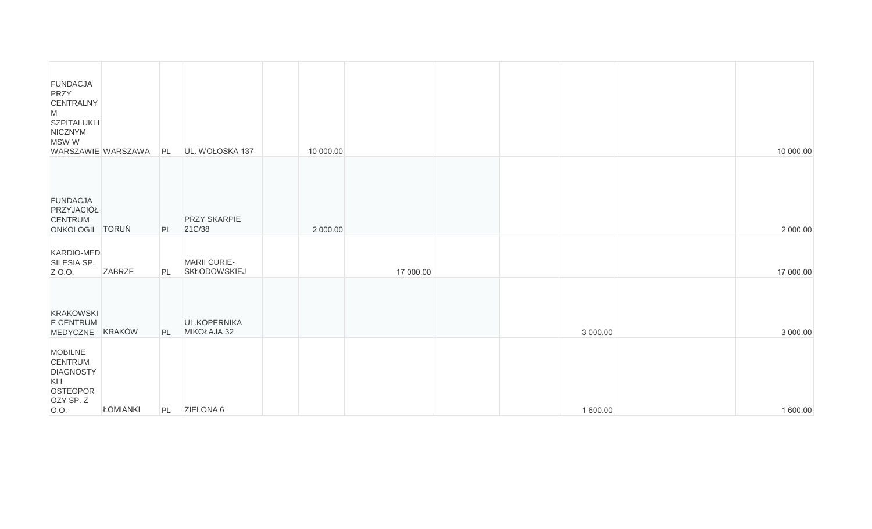| <b>FUNDACJA</b><br>PRZY<br>CENTRALNY<br>${\sf M}$<br>SZPITALUKLI<br>NICZNYM<br>MSW W<br>WARSZAWIE WARSZAWA |                 | PL | UL. WOŁOSKA 137                     | 10 000.00 |           |  |          | 10 000.00 |
|------------------------------------------------------------------------------------------------------------|-----------------|----|-------------------------------------|-----------|-----------|--|----------|-----------|
| <b>FUNDACJA</b><br>PRZYJACIÓŁ<br><b>CENTRUM</b><br>ONKOLOGII TORUŃ                                         |                 | PL | <b>PRZY SKARPIE</b><br>21C/38       | 2 000.00  |           |  |          | 2 000.00  |
| KARDIO-MED<br>SILESIA SP.<br>Z 0.0.                                                                        | <b>ZABRZE</b>   | PL | MARII CURIE-<br><b>SKŁODOWSKIEJ</b> |           | 17 000.00 |  |          | 17 000.00 |
| <b>KRAKOWSKI</b><br>E CENTRUM<br>MEDYCZNE                                                                  | <b>KRAKÓW</b>   | PL | UL.KOPERNIKA<br>MIKOŁAJA 32         |           |           |  | 3 000.00 | 3 000.00  |
| <b>MOBILNE</b><br>CENTRUM<br><b>DIAGNOSTY</b><br>KII<br>OSTEOPOR<br>OZY SP. Z<br>O.O.                      | <b>ŁOMIANKI</b> | PL | ZIELONA 6                           |           |           |  | 1 600.00 | 1 600.00  |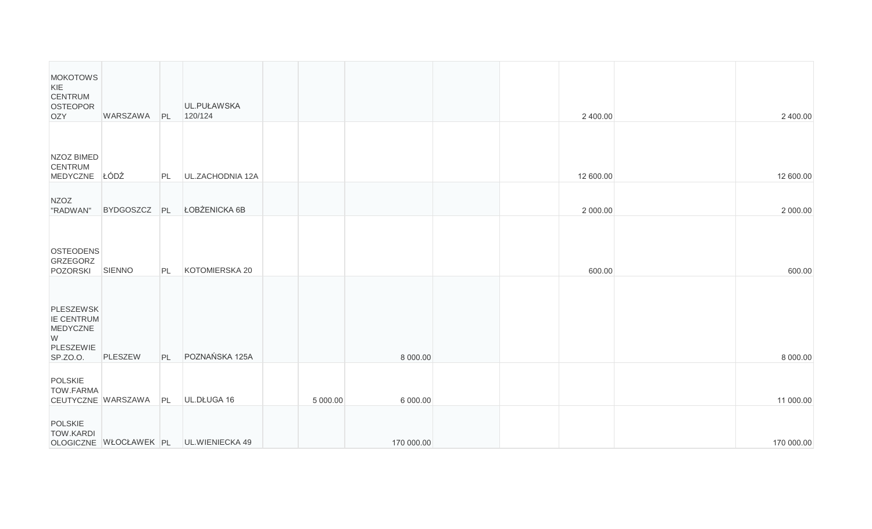| <b>MOKOTOWS</b><br>KIE<br><b>CENTRUM</b><br><b>OSTEOPOR</b><br><b>OZY</b> | WARSZAWA           | PL | UL.PUŁAWSKA<br>120/124                 |          |            |  | 2 400.00  | 2 400.00   |
|---------------------------------------------------------------------------|--------------------|----|----------------------------------------|----------|------------|--|-----------|------------|
| NZOZ BIMED<br><b>CENTRUM</b><br>MEDYCZNE                                  | ŁÓDŹ               | PL | UL.ZACHODNIA 12A                       |          |            |  | 12 600.00 | 12 600.00  |
| <b>NZOZ</b><br>"RADWAN"                                                   | <b>BYDGOSZCZ</b>   | PL | ŁOBŻENICKA 6B                          |          |            |  | 2 000.00  | 2 000.00   |
| <b>OSTEODENS</b><br><b>GRZEGORZ</b><br>POZORSKI                           | SIENNO             | PL | KOTOMIERSKA 20                         |          |            |  | 600.00    | 600.00     |
| <b>PLESZEWSK</b><br>IE CENTRUM<br>MEDYCZNE<br>W<br>PLESZEWIE<br>SP.ZO.O.  | PLESZEW            | PL | POZNAŃSKA 125A                         |          | 8 000.00   |  |           | 8 000.00   |
| POLSKIE<br>TOW.FARMA                                                      | CEUTYCZNE WARSZAWA | PL | UL.DŁUGA 16                            | 5 000.00 | 6 000.00   |  |           | 11 000.00  |
| <b>POLSKIE</b><br><b>TOW.KARDI</b>                                        |                    |    | OLOGICZNE WŁOCŁAWEK PL UL.WIENIECKA 49 |          | 170 000.00 |  |           | 170 000.00 |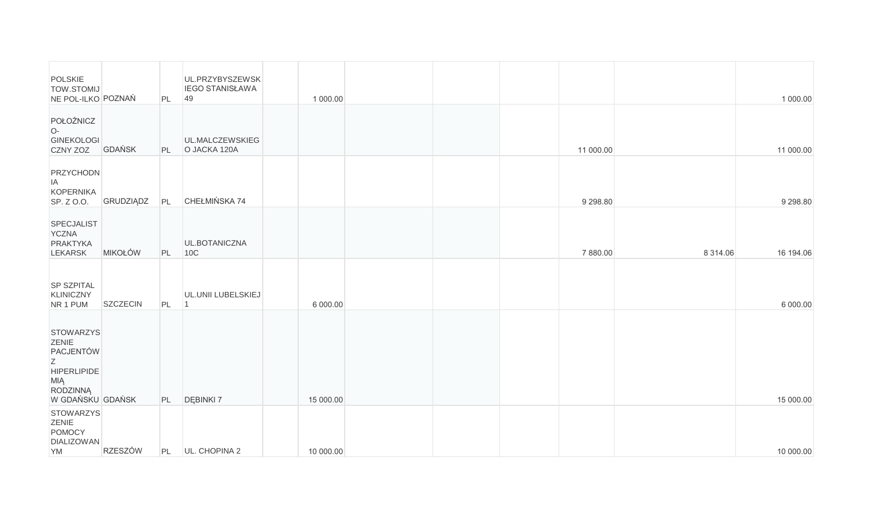| POLSKIE<br><b>TOW.STOMIJ</b><br>NE POL-ILKO POZNAŃ                                                              |                  | PL | UL.PRZYBYSZEWSK<br><b>IEGO STANISŁAWA</b><br>49 | 1 000.00  |  |            |               | 1 000.00      |
|-----------------------------------------------------------------------------------------------------------------|------------------|----|-------------------------------------------------|-----------|--|------------|---------------|---------------|
| POŁOŻNICZ<br>O-<br><b>GINEKOLOGI</b><br>CZNY ZOZ                                                                | GDAŃSK           | PL | UL.MALCZEWSKIEG<br>O JACKA 120A                 |           |  | 11 000.00  |               | 11 000.00     |
| PRZYCHODN<br><b>IA</b><br>KOPERNIKA<br>SP. Z O.O.                                                               | <b>GRUDZIĄDZ</b> | PL | CHEŁMIŃSKA 74                                   |           |  | 9 2 9 8.80 |               | 9 2 9 8 . 8 0 |
| SPECJALIST<br><b>YCZNA</b><br>PRAKTYKA<br><b>LEKARSK</b>                                                        | <b>MIKOŁÓW</b>   | PL | UL.BOTANICZNA<br>10C                            |           |  | 7 880.00   | 8 3 1 4 . 0 6 | 16 194.06     |
| <b>SP SZPITAL</b><br>KLINICZNY<br>NR 1 PUM                                                                      | <b>SZCZECIN</b>  | PL | UL.UNII LUBELSKIEJ<br>$\overline{1}$            | 6 000.00  |  |            |               | 6 000.00      |
| <b>STOWARZYS</b><br>ZENIE<br>PACJENTÓW<br>Z<br><b>HIPERLIPIDE</b><br>MIĄ<br><b>RODZINNĄ</b><br>W GDAŃSKU GDAŃSK |                  | PL | DĘBINKI 7                                       | 15 000.00 |  |            |               | 15 000.00     |
| <b>STOWARZYS</b><br>ZENIE<br>POMOCY<br><b>DIALIZOWAN</b><br>YM                                                  | <b>RZESZÓW</b>   |    | PL UL. CHOPINA 2                                | 10 000.00 |  |            |               | 10 000.00     |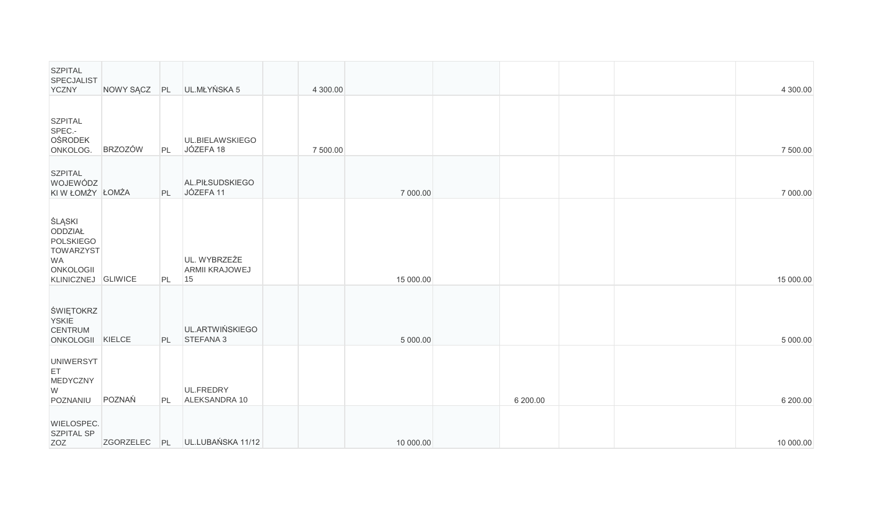| <b>SZPITAL</b><br><b>SPECJALIST</b><br><b>YCZNY</b>                                                              | NOWY SĄCZ      | PL | UL.MŁYŃSKA 5                                | 4 300.00 |           |          |  | 4 300.00  |
|------------------------------------------------------------------------------------------------------------------|----------------|----|---------------------------------------------|----------|-----------|----------|--|-----------|
| <b>SZPITAL</b><br>SPEC .-<br><b>OŚRODEK</b><br>ONKOLOG.                                                          | <b>BRZOZÓW</b> | PL | UL.BIELAWSKIEGO<br>JÓZEFA 18                | 7 500.00 |           |          |  | 7 500.00  |
| <b>SZPITAL</b><br>WOJEWÓDZ<br>KI W ŁOMŻY ŁOMŻA                                                                   |                | PL | AL.PIŁSUDSKIEGO<br>JÓZEFA 11                |          | 7 000.00  |          |  | 7 000.00  |
| <b>SLĄSKI</b><br>ODDZIAŁ<br><b>POLSKIEGO</b><br><b>TOWARZYST</b><br>WA<br><b>ONKOLOGII</b><br>KLINICZNEJ GLIWICE |                | PL | UL. WYBRZEŻE<br><b>ARMII KRAJOWEJ</b><br>15 |          | 15 000.00 |          |  | 15 000.00 |
| ŚWIĘTOKRZ<br><b>YSKIE</b><br><b>CENTRUM</b><br>ONKOLOGII KIELCE                                                  |                | PL | UL.ARTWIŃSKIEGO<br>STEFANA 3                |          | 5 000.00  |          |  | 5 000.00  |
| <b>UNIWERSYT</b><br>ET<br>MEDYCZNY<br>W<br>POZNANIU                                                              | POZNAŃ         | PL | UL.FREDRY<br>ALEKSANDRA 10                  |          |           | 6 200.00 |  | 6 200.00  |
| WIELOSPEC.<br><b>SZPITAL SP</b><br>ZOZ                                                                           |                |    | ZGORZELEC PL UL.LUBAŃSKA 11/12              |          | 10 000.00 |          |  | 10 000.00 |